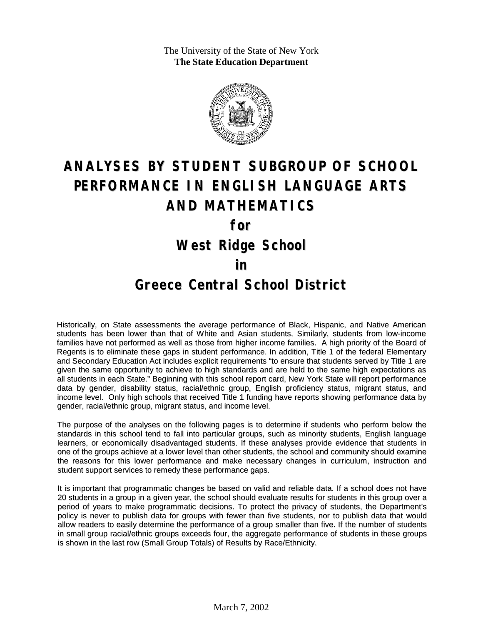The University of the State of New York **The State Education Department**



# **ANALYSES BY STUDENT SUBGROUP OF SCHOOL PERFORMANCE IN ENGLISH LANGUAGE ARTS AND MATHEMATICS**

**for**

**West Ridge School**

#### **in**

### **Greece Central School District**

Historically, on State assessments the average performance of Black, Hispanic, and Native American students has been lower than that of White and Asian students. Similarly, students from low-income families have not performed as well as those from higher income families. A high priority of the Board of Regents is to eliminate these gaps in student performance. In addition, Title 1 of the federal Elementary and Secondary Education Act includes explicit requirements "to ensure that students served by Title 1 are given the same opportunity to achieve to high standards and are held to the same high expectations as all students in each State." Beginning with this school report card, New York State will report performance data by gender, disability status, racial/ethnic group, English proficiency status, migrant status, and income level. Only high schools that received Title 1 funding have reports showing performance data by gender, racial/ethnic group, migrant status, and income level.

The purpose of the analyses on the following pages is to determine if students who perform below the standards in this school tend to fall into particular groups, such as minority students, English language learners, or economically disadvantaged students. If these analyses provide evidence that students in one of the groups achieve at a lower level than other students, the school and community should examine the reasons for this lower performance and make necessary changes in curriculum, instruction and student support services to remedy these performance gaps.

It is important that programmatic changes be based on valid and reliable data. If a school does not have 20 students in a group in a given year, the school should evaluate results for students in this group over a period of years to make programmatic decisions. To protect the privacy of students, the Department's policy is never to publish data for groups with fewer than five students, nor to publish data that would allow readers to easily determine the performance of a group smaller than five. If the number of students in small group racial/ethnic groups exceeds four, the aggregate performance of students in these groups is shown in the last row (Small Group Totals) of Results by Race/Ethnicity.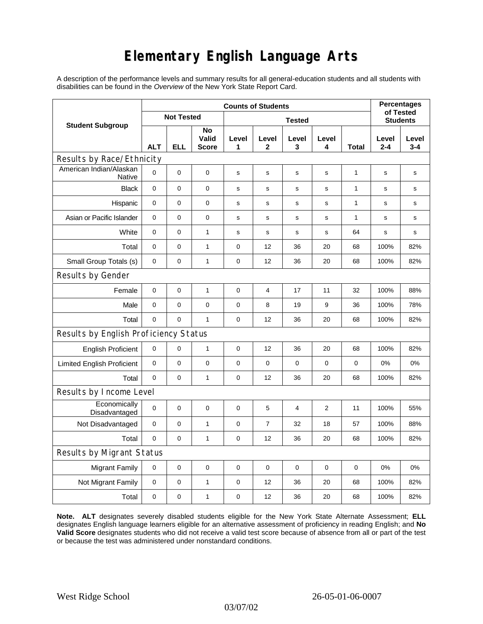## **Elementary English Language Arts**

A description of the performance levels and summary results for all general-education students and all students with disabilities can be found in the *Overview* of the New York State Report Card.

| <b>Student Subgroup</b>                  | <b>Counts of Students</b> |            |                             |               |                |                |             |       | <b>Percentages</b>           |                  |
|------------------------------------------|---------------------------|------------|-----------------------------|---------------|----------------|----------------|-------------|-------|------------------------------|------------------|
|                                          | <b>Not Tested</b>         |            |                             | <b>Tested</b> |                |                |             |       | of Tested<br><b>Students</b> |                  |
|                                          | <b>ALT</b>                | <b>ELL</b> | No<br>Valid<br><b>Score</b> | Level<br>1    | Level<br>2     | Level<br>3     | Level<br>4  | Total | Level<br>$2 - 4$             | Level<br>$3 - 4$ |
| Results by Race/Ethnicity                |                           |            |                             |               |                |                |             |       |                              |                  |
| American Indian/Alaskan<br><b>Native</b> | $\mathbf 0$               | 0          | 0                           | $\mathbf s$   | $\mathbf s$    | $\mathbf s$    | $\mathbf s$ | 1     | $\mathbf s$                  | $\mathbf s$      |
| <b>Black</b>                             | 0                         | 0          | $\pmb{0}$                   | s             | $\mathbf s$    | $\mathbf s$    | $\mathbf s$ | 1     | s                            | s                |
| Hispanic                                 | 0                         | 0          | $\pmb{0}$                   | s             | ${\tt S}$      | s              | s           | 1     | $\mathbf s$                  | s                |
| Asian or Pacific Islander                | $\mathbf 0$               | 0          | $\mathbf 0$                 | s             | s              | $\mathbf s$    | s           | 1     | s                            | $\mathbf s$      |
| White                                    | $\mathbf 0$               | 0          | $\mathbf{1}$                | s             | s              | s              | s           | 64    | s                            | s                |
| Total                                    | 0                         | 0          | 1                           | $\pmb{0}$     | 12             | 36             | 20          | 68    | 100%                         | 82%              |
| Small Group Totals (s)                   | 0                         | 0          | $\mathbf{1}$                | 0             | 12             | 36             | 20          | 68    | 100%                         | 82%              |
| Results by Gender                        |                           |            |                             |               |                |                |             |       |                              |                  |
| Female                                   | $\mathbf 0$               | 0          | $\mathbf{1}$                | $\pmb{0}$     | $\overline{4}$ | 17             | 11          | 32    | 100%                         | 88%              |
| Male                                     | 0                         | 0          | 0                           | 0             | 8              | 19             | 9           | 36    | 100%                         | 78%              |
| Total                                    | $\mathbf 0$               | 0          | $\mathbf{1}$                | $\mathbf 0$   | 12             | 36             | 20          | 68    | 100%                         | 82%              |
| Results by English Proficiency Status    |                           |            |                             |               |                |                |             |       |                              |                  |
| <b>English Proficient</b>                | 0                         | 0          | $\mathbf{1}$                | 0             | 12             | 36             | 20          | 68    | 100%                         | 82%              |
| <b>Limited English Proficient</b>        | $\mathbf 0$               | 0          | $\pmb{0}$                   | $\pmb{0}$     | 0              | $\mathbf 0$    | 0           | 0     | 0%                           | 0%               |
| Total                                    | $\mathbf 0$               | 0          | $\mathbf{1}$                | $\pmb{0}$     | 12             | 36             | 20          | 68    | 100%                         | 82%              |
| Results by Income Level                  |                           |            |                             |               |                |                |             |       |                              |                  |
| Economically<br>Disadvantaged            | $\mathbf 0$               | 0          | $\mathbf 0$                 | $\pmb{0}$     | 5              | $\overline{4}$ | 2           | 11    | 100%                         | 55%              |
| Not Disadvantaged                        | $\mathbf 0$               | 0          | $\mathbf{1}$                | $\mathbf 0$   | $\overline{7}$ | 32             | 18          | 57    | 100%                         | 88%              |
| Total                                    | $\mathbf 0$               | 0          | $\mathbf{1}$                | $\mathbf 0$   | 12             | 36             | 20          | 68    | 100%                         | 82%              |
| Results by Migrant Status                |                           |            |                             |               |                |                |             |       |                              |                  |
| <b>Migrant Family</b>                    | 0                         | 0          | 0                           | $\mathbf 0$   | 0              | $\mathbf 0$    | $\mathbf 0$ | 0     | 0%                           | 0%               |
| Not Migrant Family                       | $\mathbf 0$               | 0          | $\mathbf{1}$                | $\pmb{0}$     | 12             | 36             | 20          | 68    | 100%                         | 82%              |
| Total                                    | $\mathbf 0$               | 0          | $\mathbf{1}$                | $\pmb{0}$     | 12             | 36             | 20          | 68    | 100%                         | 82%              |

**Note. ALT** designates severely disabled students eligible for the New York State Alternate Assessment; **ELL** designates English language learners eligible for an alternative assessment of proficiency in reading English; and **No Valid Score** designates students who did not receive a valid test score because of absence from all or part of the test or because the test was administered under nonstandard conditions.

03/07/02